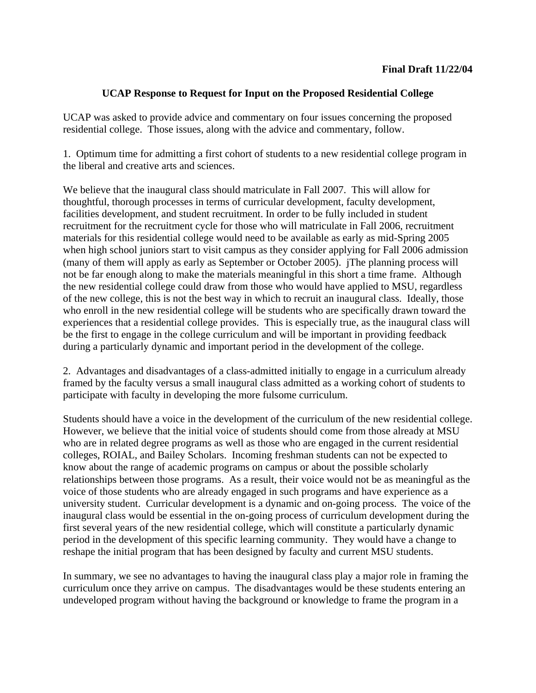## **UCAP Response to Request for Input on the Proposed Residential College**

UCAP was asked to provide advice and commentary on four issues concerning the proposed residential college. Those issues, along with the advice and commentary, follow.

1. Optimum time for admitting a first cohort of students to a new residential college program in the liberal and creative arts and sciences.

We believe that the inaugural class should matriculate in Fall 2007. This will allow for thoughtful, thorough processes in terms of curricular development, faculty development, facilities development, and student recruitment. In order to be fully included in student recruitment for the recruitment cycle for those who will matriculate in Fall 2006, recruitment materials for this residential college would need to be available as early as mid-Spring 2005 when high school juniors start to visit campus as they consider applying for Fall 2006 admission (many of them will apply as early as September or October 2005). jThe planning process will not be far enough along to make the materials meaningful in this short a time frame. Although the new residential college could draw from those who would have applied to MSU, regardless of the new college, this is not the best way in which to recruit an inaugural class. Ideally, those who enroll in the new residential college will be students who are specifically drawn toward the experiences that a residential college provides. This is especially true, as the inaugural class will be the first to engage in the college curriculum and will be important in providing feedback during a particularly dynamic and important period in the development of the college.

2. Advantages and disadvantages of a class-admitted initially to engage in a curriculum already framed by the faculty versus a small inaugural class admitted as a working cohort of students to participate with faculty in developing the more fulsome curriculum.

Students should have a voice in the development of the curriculum of the new residential college. However, we believe that the initial voice of students should come from those already at MSU who are in related degree programs as well as those who are engaged in the current residential colleges, ROIAL, and Bailey Scholars. Incoming freshman students can not be expected to know about the range of academic programs on campus or about the possible scholarly relationships between those programs. As a result, their voice would not be as meaningful as the voice of those students who are already engaged in such programs and have experience as a university student. Curricular development is a dynamic and on-going process. The voice of the inaugural class would be essential in the on-going process of curriculum development during the first several years of the new residential college, which will constitute a particularly dynamic period in the development of this specific learning community. They would have a change to reshape the initial program that has been designed by faculty and current MSU students.

In summary, we see no advantages to having the inaugural class play a major role in framing the curriculum once they arrive on campus. The disadvantages would be these students entering an undeveloped program without having the background or knowledge to frame the program in a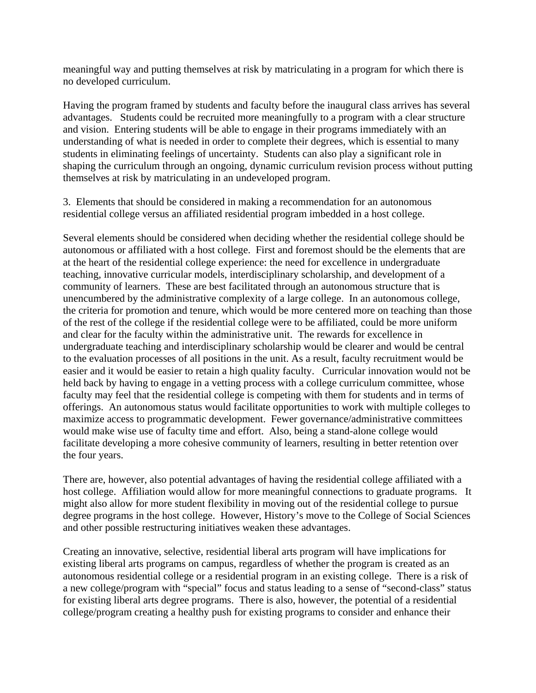meaningful way and putting themselves at risk by matriculating in a program for which there is no developed curriculum.

Having the program framed by students and faculty before the inaugural class arrives has several advantages. Students could be recruited more meaningfully to a program with a clear structure and vision. Entering students will be able to engage in their programs immediately with an understanding of what is needed in order to complete their degrees, which is essential to many students in eliminating feelings of uncertainty. Students can also play a significant role in shaping the curriculum through an ongoing, dynamic curriculum revision process without putting themselves at risk by matriculating in an undeveloped program.

3. Elements that should be considered in making a recommendation for an autonomous residential college versus an affiliated residential program imbedded in a host college.

Several elements should be considered when deciding whether the residential college should be autonomous or affiliated with a host college. First and foremost should be the elements that are at the heart of the residential college experience: the need for excellence in undergraduate teaching, innovative curricular models, interdisciplinary scholarship, and development of a community of learners. These are best facilitated through an autonomous structure that is unencumbered by the administrative complexity of a large college. In an autonomous college, the criteria for promotion and tenure, which would be more centered more on teaching than those of the rest of the college if the residential college were to be affiliated, could be more uniform and clear for the faculty within the administrative unit. The rewards for excellence in undergraduate teaching and interdisciplinary scholarship would be clearer and would be central to the evaluation processes of all positions in the unit. As a result, faculty recruitment would be easier and it would be easier to retain a high quality faculty. Curricular innovation would not be held back by having to engage in a vetting process with a college curriculum committee, whose faculty may feel that the residential college is competing with them for students and in terms of offerings. An autonomous status would facilitate opportunities to work with multiple colleges to maximize access to programmatic development. Fewer governance/administrative committees would make wise use of faculty time and effort. Also, being a stand-alone college would facilitate developing a more cohesive community of learners, resulting in better retention over the four years.

There are, however, also potential advantages of having the residential college affiliated with a host college. Affiliation would allow for more meaningful connections to graduate programs. It might also allow for more student flexibility in moving out of the residential college to pursue degree programs in the host college. However, History's move to the College of Social Sciences and other possible restructuring initiatives weaken these advantages.

Creating an innovative, selective, residential liberal arts program will have implications for existing liberal arts programs on campus, regardless of whether the program is created as an autonomous residential college or a residential program in an existing college. There is a risk of a new college/program with "special" focus and status leading to a sense of "second-class" status for existing liberal arts degree programs. There is also, however, the potential of a residential college/program creating a healthy push for existing programs to consider and enhance their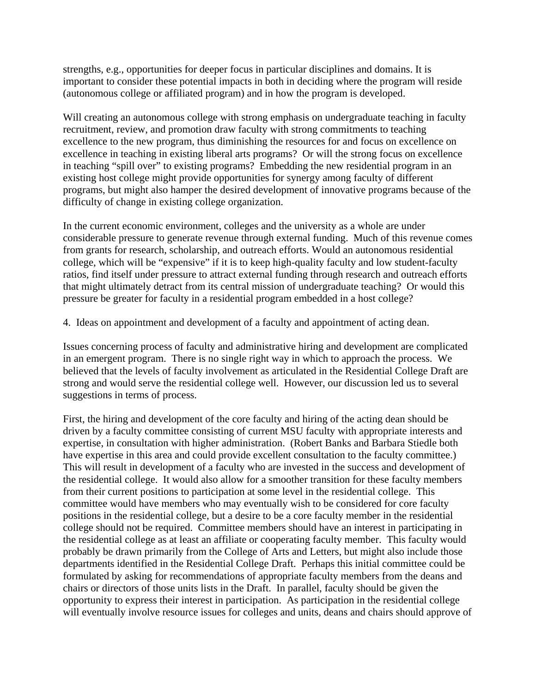strengths, e.g., opportunities for deeper focus in particular disciplines and domains. It is important to consider these potential impacts in both in deciding where the program will reside (autonomous college or affiliated program) and in how the program is developed.

Will creating an autonomous college with strong emphasis on undergraduate teaching in faculty recruitment, review, and promotion draw faculty with strong commitments to teaching excellence to the new program, thus diminishing the resources for and focus on excellence on excellence in teaching in existing liberal arts programs? Or will the strong focus on excellence in teaching "spill over" to existing programs? Embedding the new residential program in an existing host college might provide opportunities for synergy among faculty of different programs, but might also hamper the desired development of innovative programs because of the difficulty of change in existing college organization.

In the current economic environment, colleges and the university as a whole are under considerable pressure to generate revenue through external funding. Much of this revenue comes from grants for research, scholarship, and outreach efforts. Would an autonomous residential college, which will be "expensive" if it is to keep high-quality faculty and low student-faculty ratios, find itself under pressure to attract external funding through research and outreach efforts that might ultimately detract from its central mission of undergraduate teaching? Or would this pressure be greater for faculty in a residential program embedded in a host college?

4. Ideas on appointment and development of a faculty and appointment of acting dean.

Issues concerning process of faculty and administrative hiring and development are complicated in an emergent program. There is no single right way in which to approach the process. We believed that the levels of faculty involvement as articulated in the Residential College Draft are strong and would serve the residential college well. However, our discussion led us to several suggestions in terms of process.

First, the hiring and development of the core faculty and hiring of the acting dean should be driven by a faculty committee consisting of current MSU faculty with appropriate interests and expertise, in consultation with higher administration. (Robert Banks and Barbara Stiedle both have expertise in this area and could provide excellent consultation to the faculty committee.) This will result in development of a faculty who are invested in the success and development of the residential college. It would also allow for a smoother transition for these faculty members from their current positions to participation at some level in the residential college. This committee would have members who may eventually wish to be considered for core faculty positions in the residential college, but a desire to be a core faculty member in the residential college should not be required. Committee members should have an interest in participating in the residential college as at least an affiliate or cooperating faculty member. This faculty would probably be drawn primarily from the College of Arts and Letters, but might also include those departments identified in the Residential College Draft. Perhaps this initial committee could be formulated by asking for recommendations of appropriate faculty members from the deans and chairs or directors of those units lists in the Draft. In parallel, faculty should be given the opportunity to express their interest in participation. As participation in the residential college will eventually involve resource issues for colleges and units, deans and chairs should approve of